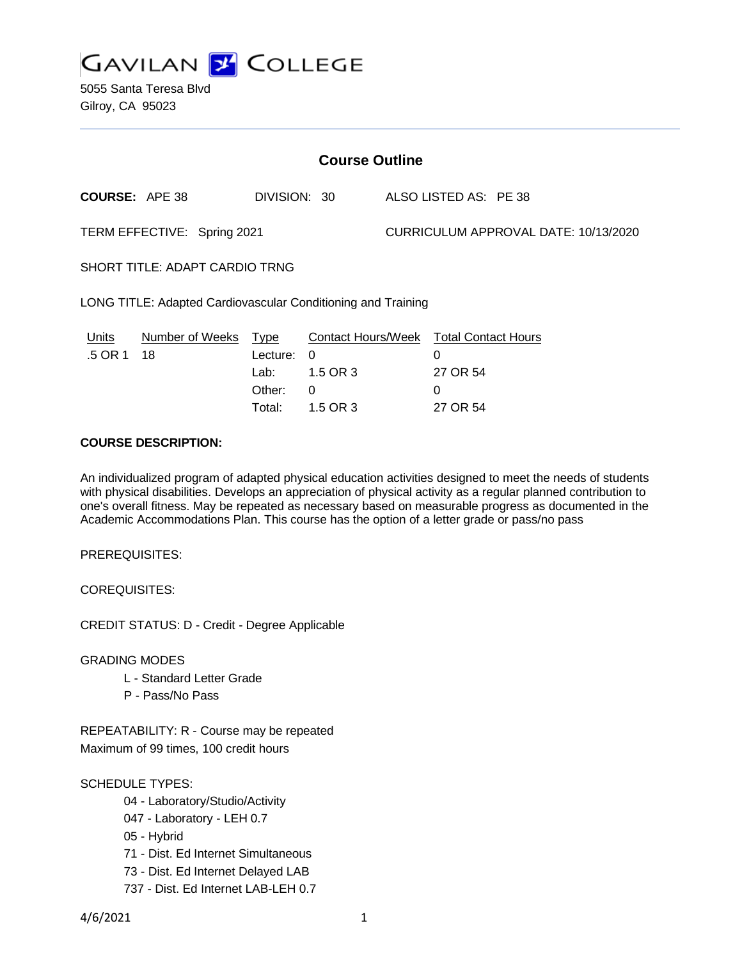

5055 Santa Teresa Blvd Gilroy, CA 95023

| <b>Course Outline</b>                                        |                                                     |                                                                           |                                                                     |  |
|--------------------------------------------------------------|-----------------------------------------------------|---------------------------------------------------------------------------|---------------------------------------------------------------------|--|
| <b>COURSE: APE 38</b>                                        | DIVISION: 30                                        |                                                                           | ALSO LISTED AS: PE 38                                               |  |
| TERM EFFECTIVE: Spring 2021                                  |                                                     |                                                                           | CURRICULUM APPROVAL DATE: 10/13/2020                                |  |
| <b>SHORT TITLE: ADAPT CARDIO TRNG</b>                        |                                                     |                                                                           |                                                                     |  |
| LONG TITLE: Adapted Cardiovascular Conditioning and Training |                                                     |                                                                           |                                                                     |  |
| Number of Weeks<br>Units<br>.5 OR 1<br>18                    | <b>Type</b><br>Lecture:<br>Lab:<br>Other:<br>Total: | <b>Contact Hours/Week</b><br>$\Omega$<br>1.5 OR 3<br>$\Omega$<br>1.5 OR 3 | <b>Total Contact Hours</b><br>0<br>27 OR 54<br>$\Omega$<br>27 OR 54 |  |

# **COURSE DESCRIPTION:**

An individualized program of adapted physical education activities designed to meet the needs of students with physical disabilities. Develops an appreciation of physical activity as a regular planned contribution to one's overall fitness. May be repeated as necessary based on measurable progress as documented in the Academic Accommodations Plan. This course has the option of a letter grade or pass/no pass

PREREQUISITES:

COREQUISITES:

CREDIT STATUS: D - Credit - Degree Applicable

GRADING MODES

- L Standard Letter Grade
- P Pass/No Pass

REPEATABILITY: R - Course may be repeated Maximum of 99 times, 100 credit hours

## SCHEDULE TYPES:

- 04 Laboratory/Studio/Activity
- 047 Laboratory LEH 0.7
- 05 Hybrid
- 71 Dist. Ed Internet Simultaneous
- 73 Dist. Ed Internet Delayed LAB
- 737 Dist. Ed Internet LAB-LEH 0.7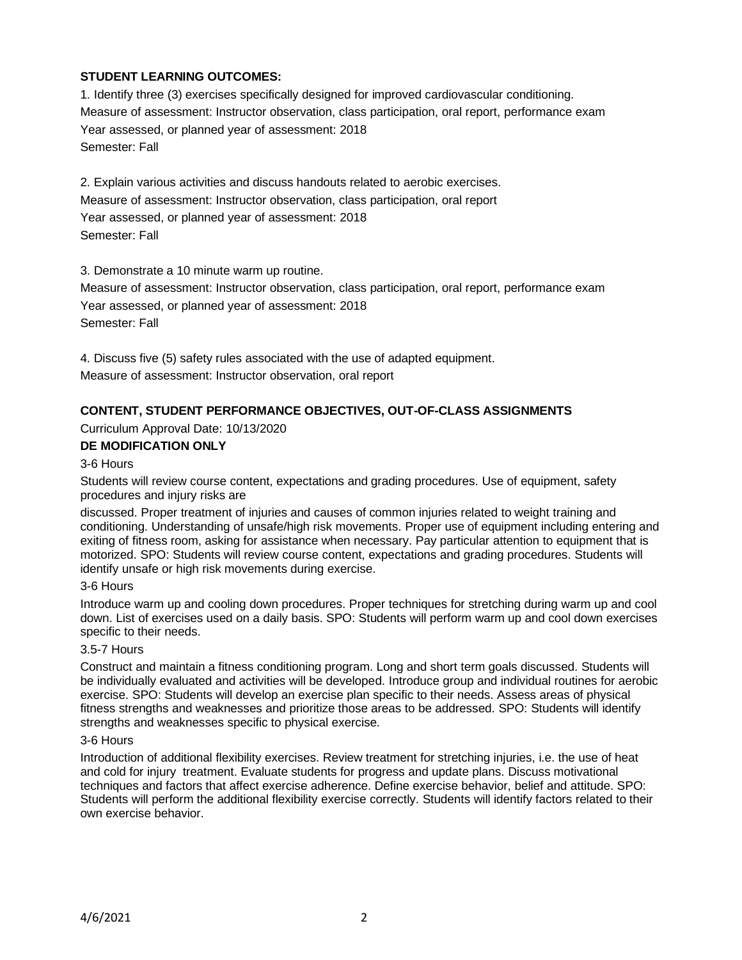# **STUDENT LEARNING OUTCOMES:**

1. Identify three (3) exercises specifically designed for improved cardiovascular conditioning. Measure of assessment: Instructor observation, class participation, oral report, performance exam Year assessed, or planned year of assessment: 2018 Semester: Fall

2. Explain various activities and discuss handouts related to aerobic exercises. Measure of assessment: Instructor observation, class participation, oral report Year assessed, or planned year of assessment: 2018 Semester: Fall

3. Demonstrate a 10 minute warm up routine.

Measure of assessment: Instructor observation, class participation, oral report, performance exam Year assessed, or planned year of assessment: 2018 Semester: Fall

4. Discuss five (5) safety rules associated with the use of adapted equipment. Measure of assessment: Instructor observation, oral report

# **CONTENT, STUDENT PERFORMANCE OBJECTIVES, OUT-OF-CLASS ASSIGNMENTS**

Curriculum Approval Date: 10/13/2020

## **DE MODIFICATION ONLY**

#### 3-6 Hours

Students will review course content, expectations and grading procedures. Use of equipment, safety procedures and injury risks are

discussed. Proper treatment of injuries and causes of common injuries related to weight training and conditioning. Understanding of unsafe/high risk movements. Proper use of equipment including entering and exiting of fitness room, asking for assistance when necessary. Pay particular attention to equipment that is motorized. SPO: Students will review course content, expectations and grading procedures. Students will identify unsafe or high risk movements during exercise.

#### 3-6 Hours

Introduce warm up and cooling down procedures. Proper techniques for stretching during warm up and cool down. List of exercises used on a daily basis. SPO: Students will perform warm up and cool down exercises specific to their needs.

#### 3.5-7 Hours

Construct and maintain a fitness conditioning program. Long and short term goals discussed. Students will be individually evaluated and activities will be developed. Introduce group and individual routines for aerobic exercise. SPO: Students will develop an exercise plan specific to their needs. Assess areas of physical fitness strengths and weaknesses and prioritize those areas to be addressed. SPO: Students will identify strengths and weaknesses specific to physical exercise.

#### 3-6 Hours

Introduction of additional flexibility exercises. Review treatment for stretching injuries, i.e. the use of heat and cold for injury treatment. Evaluate students for progress and update plans. Discuss motivational techniques and factors that affect exercise adherence. Define exercise behavior, belief and attitude. SPO: Students will perform the additional flexibility exercise correctly. Students will identify factors related to their own exercise behavior.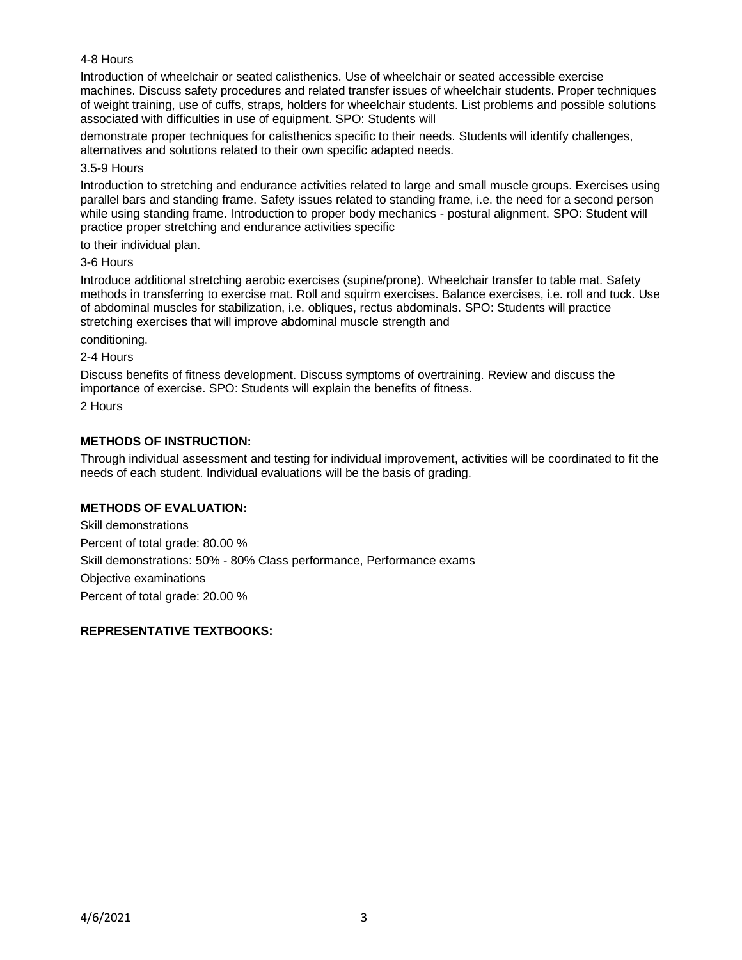## 4-8 Hours

Introduction of wheelchair or seated calisthenics. Use of wheelchair or seated accessible exercise machines. Discuss safety procedures and related transfer issues of wheelchair students. Proper techniques of weight training, use of cuffs, straps, holders for wheelchair students. List problems and possible solutions associated with difficulties in use of equipment. SPO: Students will

demonstrate proper techniques for calisthenics specific to their needs. Students will identify challenges, alternatives and solutions related to their own specific adapted needs.

#### 3.5-9 Hours

Introduction to stretching and endurance activities related to large and small muscle groups. Exercises using parallel bars and standing frame. Safety issues related to standing frame, i.e. the need for a second person while using standing frame. Introduction to proper body mechanics - postural alignment. SPO: Student will practice proper stretching and endurance activities specific

to their individual plan.

#### 3-6 Hours

Introduce additional stretching aerobic exercises (supine/prone). Wheelchair transfer to table mat. Safety methods in transferring to exercise mat. Roll and squirm exercises. Balance exercises, i.e. roll and tuck. Use of abdominal muscles for stabilization, i.e. obliques, rectus abdominals. SPO: Students will practice stretching exercises that will improve abdominal muscle strength and

conditioning.

#### 2-4 Hours

Discuss benefits of fitness development. Discuss symptoms of overtraining. Review and discuss the importance of exercise. SPO: Students will explain the benefits of fitness.

2 Hours

## **METHODS OF INSTRUCTION:**

Through individual assessment and testing for individual improvement, activities will be coordinated to fit the needs of each student. Individual evaluations will be the basis of grading.

# **METHODS OF EVALUATION:**

Skill demonstrations Percent of total grade: 80.00 % Skill demonstrations: 50% - 80% Class performance, Performance exams Objective examinations Percent of total grade: 20.00 %

## **REPRESENTATIVE TEXTBOOKS:**